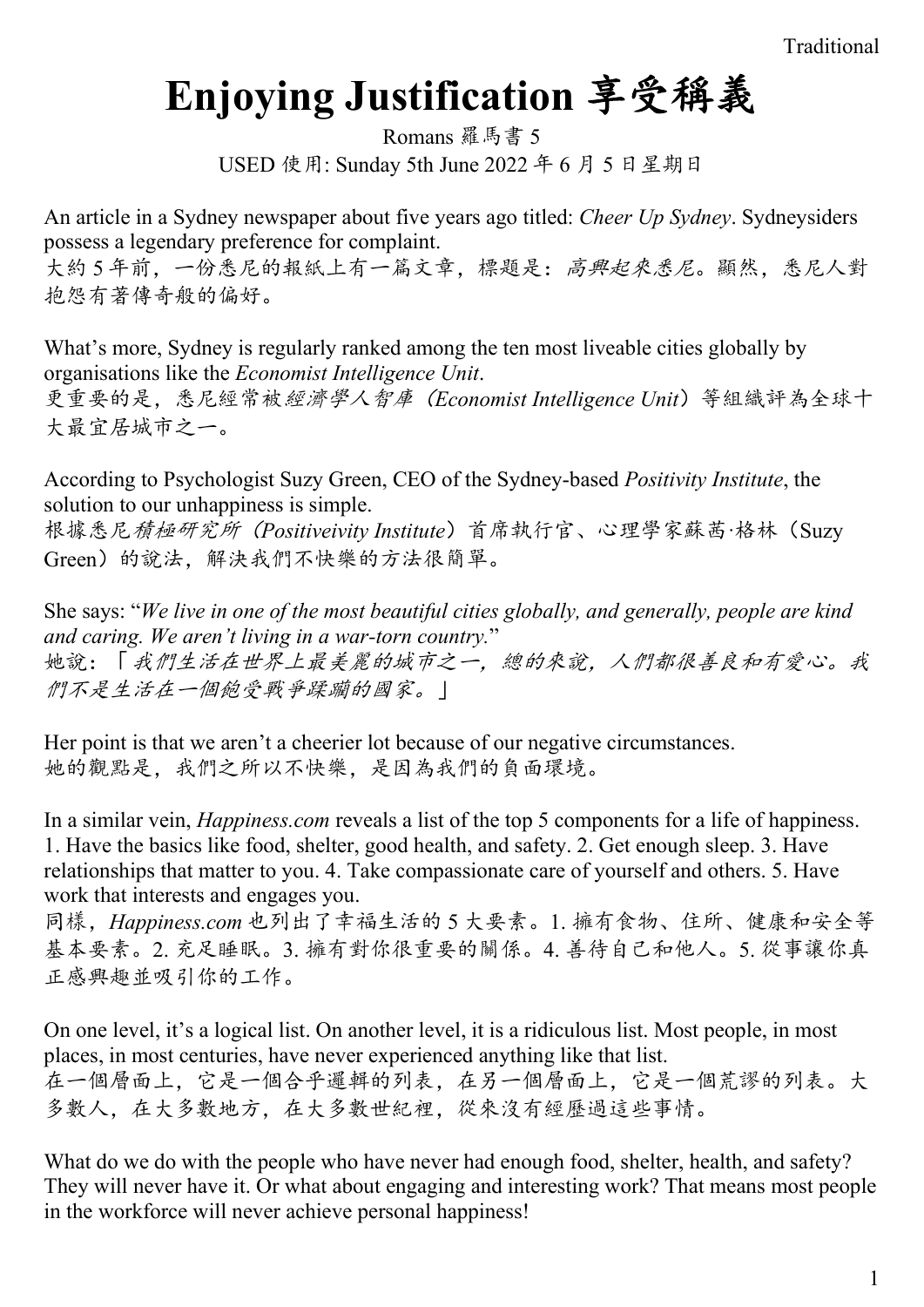# **Enjoying Justification** 享受稱義

Romans 羅馬書 5 USED 使用: Sunday 5th June 2022 年 6 月 5 日星期日

An article in a Sydney newspaper about five years ago titled: *Cheer Up Sydney*. Sydneysiders possess a legendary preference for complaint.

大約5年前,一份悉尼的報紙上有一篇文章,標題是:高興起來悉尼。顯然,悉尼人對 抱怨有著傳奇般的偏好。

What's more, Sydney is regularly ranked among the ten most liveable cities globally by organisations like the *Economist Intelligence Unit*. 更重要的是,悉尼經常被經濟學人智庫(*Economist Intelligence Unit*)等組織評為全球十 大最宜居城市之一。

According to Psychologist Suzy Green, CEO of the Sydney-based *Positivity Institute*, the solution to our unhappiness is simple.

根據悉尼積極研究所(*Positiveivity Institute*)首席執行官、心理學家蘇茜·格林(Suzy Green)的說法,解決我們不快樂的方法很簡單。

She says: "*We live in one of the most beautiful cities globally, and generally, people are kind and caring. We aren't living in a war-torn country.*" 她說:「我們生活在世界上最美麗的城市之一,總的來說,人們都很善良和有愛心。我 們不是生活在一個飽受戰爭蹂躪的國家。」

Her point is that we aren't a cheerier lot because of our negative circumstances. 她的觀點是,我們之所以不快樂,是因為我們的負面環境。

In a similar vein, *Happiness.com* reveals a list of the top 5 components for a life of happiness. 1. Have the basics like food, shelter, good health, and safety. 2. Get enough sleep. 3. Have relationships that matter to you. 4. Take compassionate care of yourself and others. 5. Have work that interests and engages you.

同樣,*Happiness.com* 也列出了幸福生活的 5 大要素。1. 擁有食物、住所、健康和安全等 基本要素。2. 充足睡眠。3. 擁有對你很重要的關係。4. 善待自己和他人。5. 從事讓你真 正感興趣並吸引你的工作。

On one level, it's a logical list. On another level, it is a ridiculous list. Most people, in most places, in most centuries, have never experienced anything like that list. 在一個層面上,它是一個合乎邏輯的列表,在另一個層面上,它是一個荒謬的列表。大 多數人,在大多數地方,在大多數世紀裡,從來沒有經歷過這些事情。

What do we do with the people who have never had enough food, shelter, health, and safety? They will never have it. Or what about engaging and interesting work? That means most people in the workforce will never achieve personal happiness!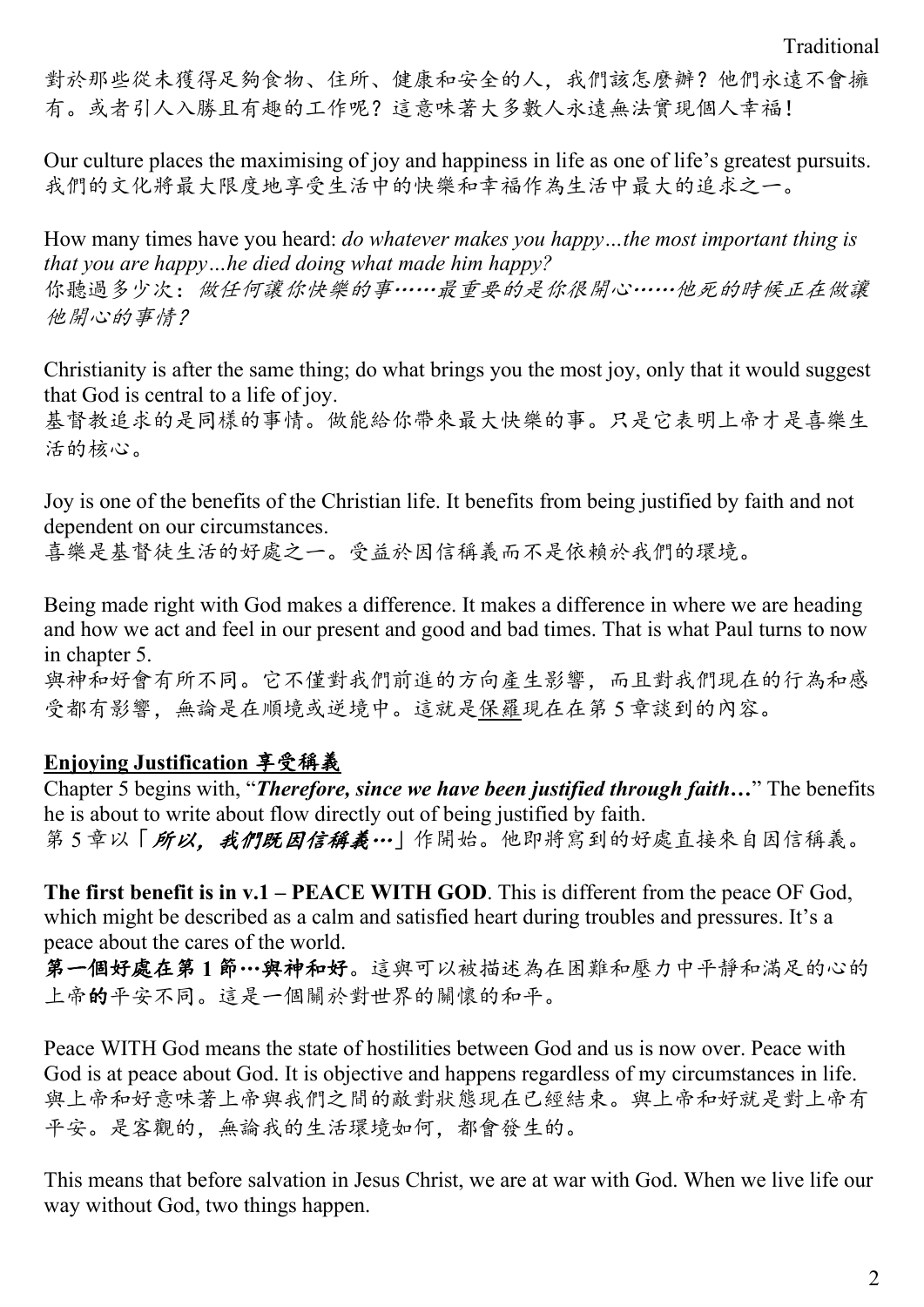對於那些從未獲得足夠食物、住所、健康和安全的人,我們該怎麼辦?他們永遠不會擁 有。或者引人入勝且有趣的工作呢?這意味著大多數人永遠無法實現個人幸福!

Our culture places the maximising of joy and happiness in life as one of life's greatest pursuits. 我們的文化將最大限度地享受生活中的快樂和幸福作為生活中最大的追求之一。

How many times have you heard: *do whatever makes you happy…the most important thing is that you are happy…he died doing what made him happy?* 你聽過多少次:做任何讓你快樂的事……最重要的是你很開心……他死的時候正在做讓 他開心的事情?

Christianity is after the same thing; do what brings you the most joy, only that it would suggest that God is central to a life of joy.

基督教追求的是同樣的事情。做能給你帶來最大快樂的事。只是它表明上帝才是喜樂生 活的核心。

Joy is one of the benefits of the Christian life. It benefits from being justified by faith and not dependent on our circumstances.

喜樂是基督徒生活的好處之一。受益於因信稱義而不是依賴於我們的環境。

Being made right with God makes a difference. It makes a difference in where we are heading and how we act and feel in our present and good and bad times. That is what Paul turns to now in chapter 5.

與神和好會有所不同。它不僅對我們前進的方向產生影響,而且對我們現在的行為和感 受都有影響,無論是在順境或逆境中。這就是保羅現在在第 5 章談到的內容。

## **Enjoying Justification** 享受稱義

Chapter 5 begins with, "*Therefore, since we have been justified through faith…*" The benefits he is about to write about flow directly out of being justified by faith. 第5章以「所以,我們既因信稱義…」作開始。他即將寫到的好處直接來自因信稱義。

**The first benefit is in v.1 – PEACE WITH GOD**. This is different from the peace OF God, which might be described as a calm and satisfied heart during troubles and pressures. It's a peace about the cares of the world.

第一個好處在第 **1** 節…與神和好。這與可以被描述為在困難和壓力中平靜和滿足的心的 上帝的平安不同。這是一個關於對世界的關懷的和平。

Peace WITH God means the state of hostilities between God and us is now over. Peace with God is at peace about God. It is objective and happens regardless of my circumstances in life. 與上帝和好意味著上帝與我們之間的敵對狀態現在已經結束。與上帝和好就是對上帝有 平安。是客觀的,無論我的生活環境如何,都會發生的。

This means that before salvation in Jesus Christ, we are at war with God. When we live life our way without God, two things happen.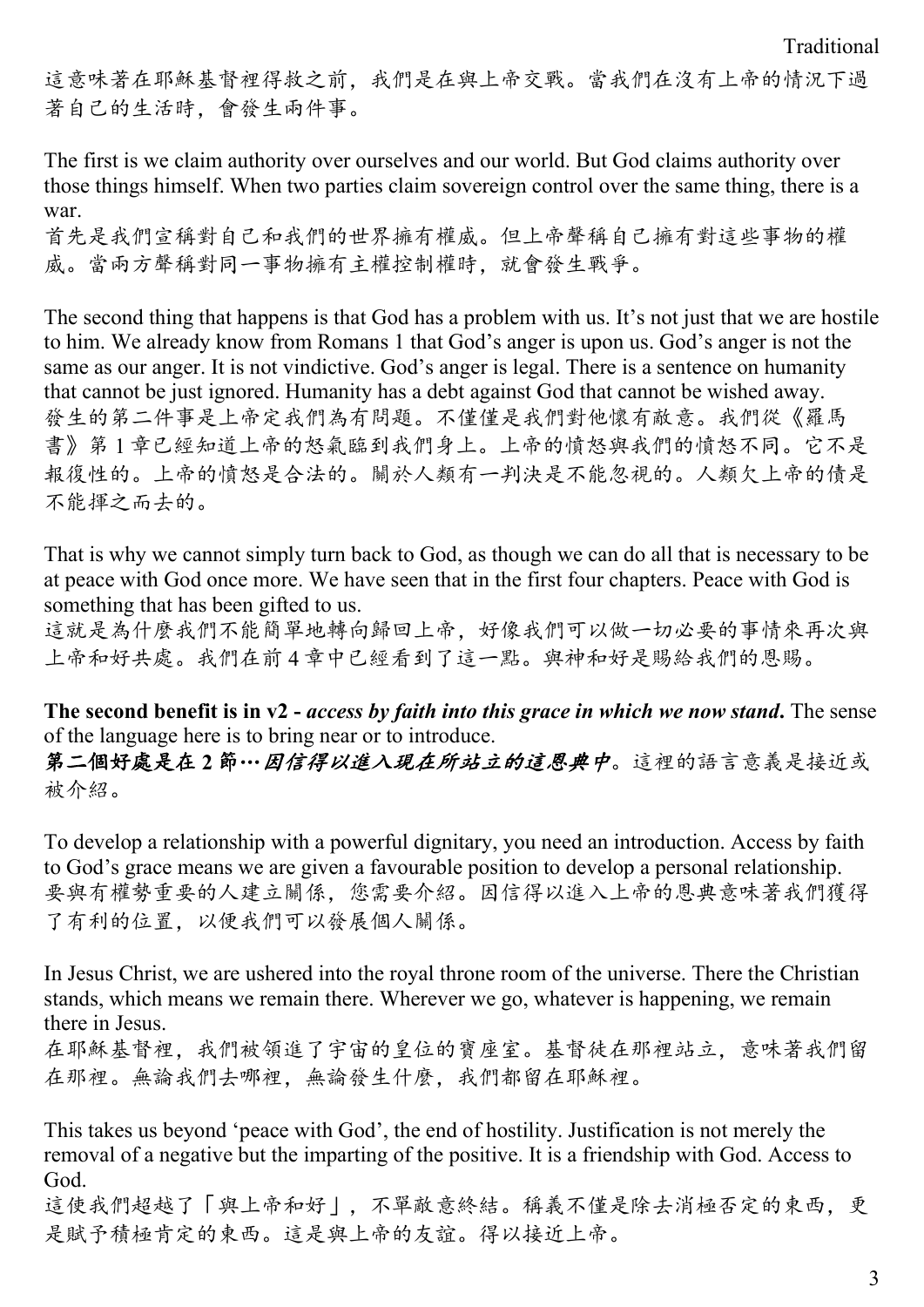這意味著在耶穌基督裡得救之前,我們是在與上帝交戰。當我們在沒有上帝的情況下過 著自己的生活時,會發生兩件事。

The first is we claim authority over ourselves and our world. But God claims authority over those things himself. When two parties claim sovereign control over the same thing, there is a war.

首先是我們宣稱對自己和我們的世界擁有權威。但上帝聲稱自己擁有對這些事物的權 威。當兩方聲稱對同一事物擁有主權控制權時,就會發生戰爭。

The second thing that happens is that God has a problem with us. It's not just that we are hostile to him. We already know from Romans 1 that God's anger is upon us. God's anger is not the same as our anger. It is not vindictive. God's anger is legal. There is a sentence on humanity that cannot be just ignored. Humanity has a debt against God that cannot be wished away. 發生的第二件事是上帝定我們為有問題。不僅僅是我們對他懷有敵意。我們從《羅馬 書》第 1 章已經知道上帝的怒氣臨到我們身上。上帝的憤怒與我們的憤怒不同。它不是 報復性的。上帝的憤怒是合法的。關於人類有一判決是不能忽視的。人類欠上帝的債是 不能揮之而去的。

That is why we cannot simply turn back to God, as though we can do all that is necessary to be at peace with God once more. We have seen that in the first four chapters. Peace with God is something that has been gifted to us.

這就是為什麼我們不能簡單地轉向歸回上帝,好像我們可以做一切必要的事情來再次與 上帝和好共處。我們在前 4 章中已經看到了這一點。與神和好是賜給我們的恩賜。

**The second benefit is in v2 -** *access by faith into this grace in which we now stand***.** The sense of the language here is to bring near or to introduce.

第二個好處是在 **2** 節…因信得以進入現在所站立的這恩典中。這裡的語言意義是接近或 被介紹。

To develop a relationship with a powerful dignitary, you need an introduction. Access by faith to God's grace means we are given a favourable position to develop a personal relationship. 要與有權勢重要的人建立關係,您需要介紹。因信得以進入上帝的恩典意味著我們獲得 了有利的位置,以便我們可以發展個人關係。

In Jesus Christ, we are ushered into the royal throne room of the universe. There the Christian stands, which means we remain there. Wherever we go, whatever is happening, we remain there in Jesus.

在耶穌基督裡,我們被領進了宇宙的皇位的寶座室。基督徒在那裡站立,意味著我們留 在那裡。無論我們去哪裡,無論發生什麼,我們都留在耶穌裡。

This takes us beyond 'peace with God', the end of hostility. Justification is not merely the removal of a negative but the imparting of the positive. It is a friendship with God. Access to God.

這使我們超越了「與上帝和好」,不單敵意終結。稱義不僅是除去消極否定的東西,更 是賦予積極肯定的東西。這是與上帝的友誼。得以接近上帝。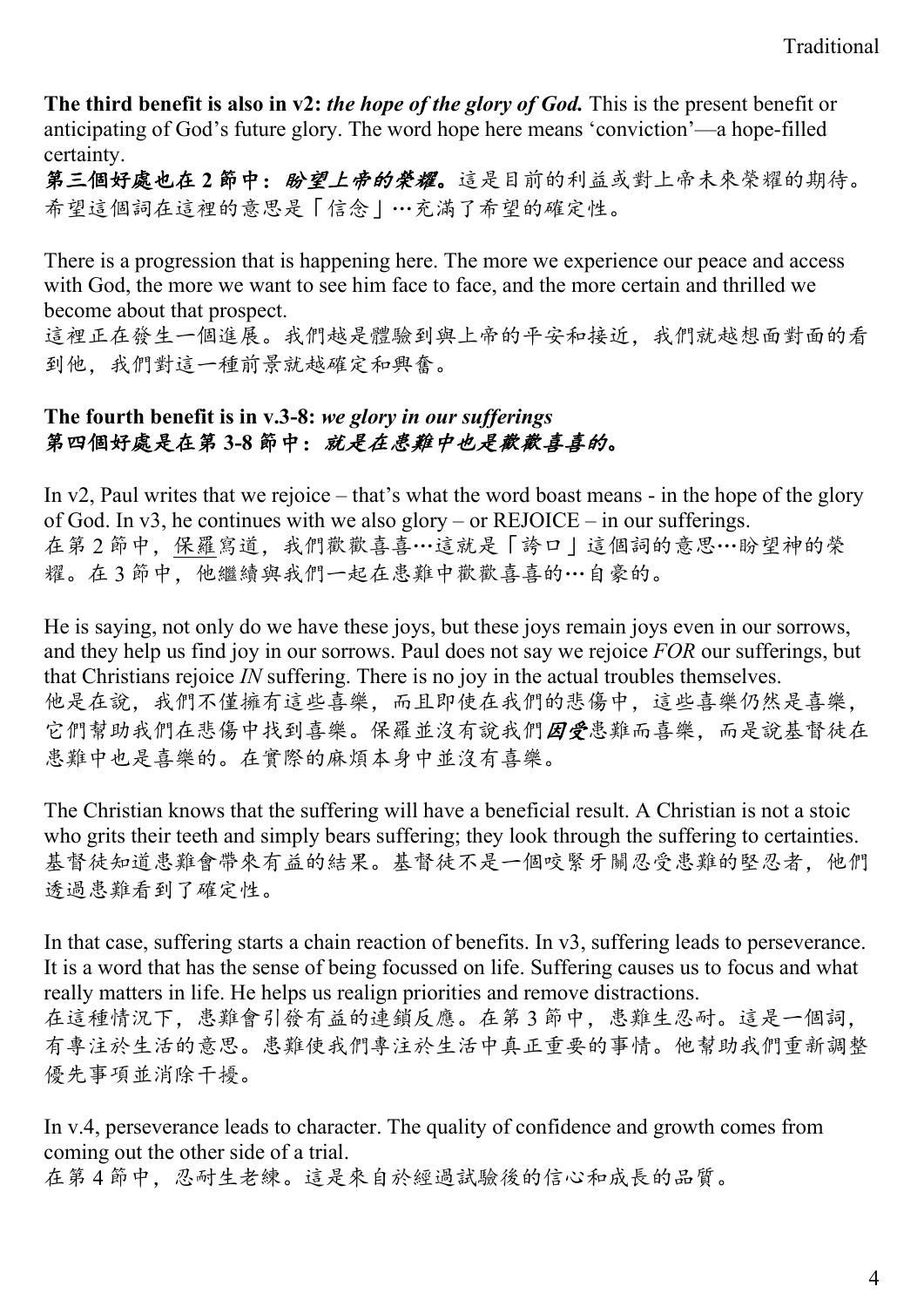**The third benefit is also in v2:** *the hope of the glory of God.* This is the present benefit or anticipating of God's future glory. The word hope here means 'conviction'—a hope-filled certainty.

第三個好處也在2節中: 盼望上帝的榮耀。這是目前的利益或對上帝未來榮耀的期待。 希望這個詞在這裡的意思是「信念」…充滿了希望的確定性。

There is a progression that is happening here. The more we experience our peace and access with God, the more we want to see him face to face, and the more certain and thrilled we become about that prospect.

這裡正在發生一個進展。我們越是體驗到與上帝的平安和接近,我們就越想面對面的看 到他,我們對這一種前景就越確定和興奮。

#### **The fourth benefit is in v.3-8:** *we glory in our sufferings* 第四個好處是在第 **3-8** 節中:就是在患難中也是歡歡喜喜的。

In v2, Paul writes that we rejoice – that's what the word boast means - in the hope of the glory of God. In v3, he continues with we also glory – or REJOICE – in our sufferings. 在第2節中,保羅寫道,我們歡歡喜喜…這就是「誇口」這個詞的意思…盼望神的榮 耀。在3節中,他繼續與我們一起在患難中歡歡喜喜的…自豪的。

He is saying, not only do we have these joys, but these joys remain joys even in our sorrows, and they help us find joy in our sorrows. Paul does not say we rejoice *FOR* our sufferings, but that Christians rejoice *IN* suffering. There is no joy in the actual troubles themselves. 他是在說,我們不僅擁有這些喜樂,而且即使在我們的悲傷中,這些喜樂仍然是喜樂, 它們幫助我們在悲傷中找到喜樂。保羅並沒有說我們因受患難而喜樂,而是說基督徒在 患難中也是喜樂的。在實際的麻煩本身中並沒有喜樂。

The Christian knows that the suffering will have a beneficial result. A Christian is not a stoic who grits their teeth and simply bears suffering; they look through the suffering to certainties. 基督徒知道患難會帶來有益的結果。基督徒不是一個咬緊牙關忍受患難的堅忍者,他們 透過患難看到了確定性。

In that case, suffering starts a chain reaction of benefits. In v3, suffering leads to perseverance. It is a word that has the sense of being focussed on life. Suffering causes us to focus and what really matters in life. He helps us realign priorities and remove distractions. 在這種情況下,患難會引發有益的連鎖反應。在第 3 節中,患難生忍耐。這是一個詞, 有專注於生活的意思。患難使我們專注於生活中真正重要的事情。他幫助我們重新調整 優先事項並消除干擾。

In v.4, perseverance leads to character. The quality of confidence and growth comes from coming out the other side of a trial.

在第4節中,忍耐生老練。這是來自於經過試驗後的信心和成長的品質。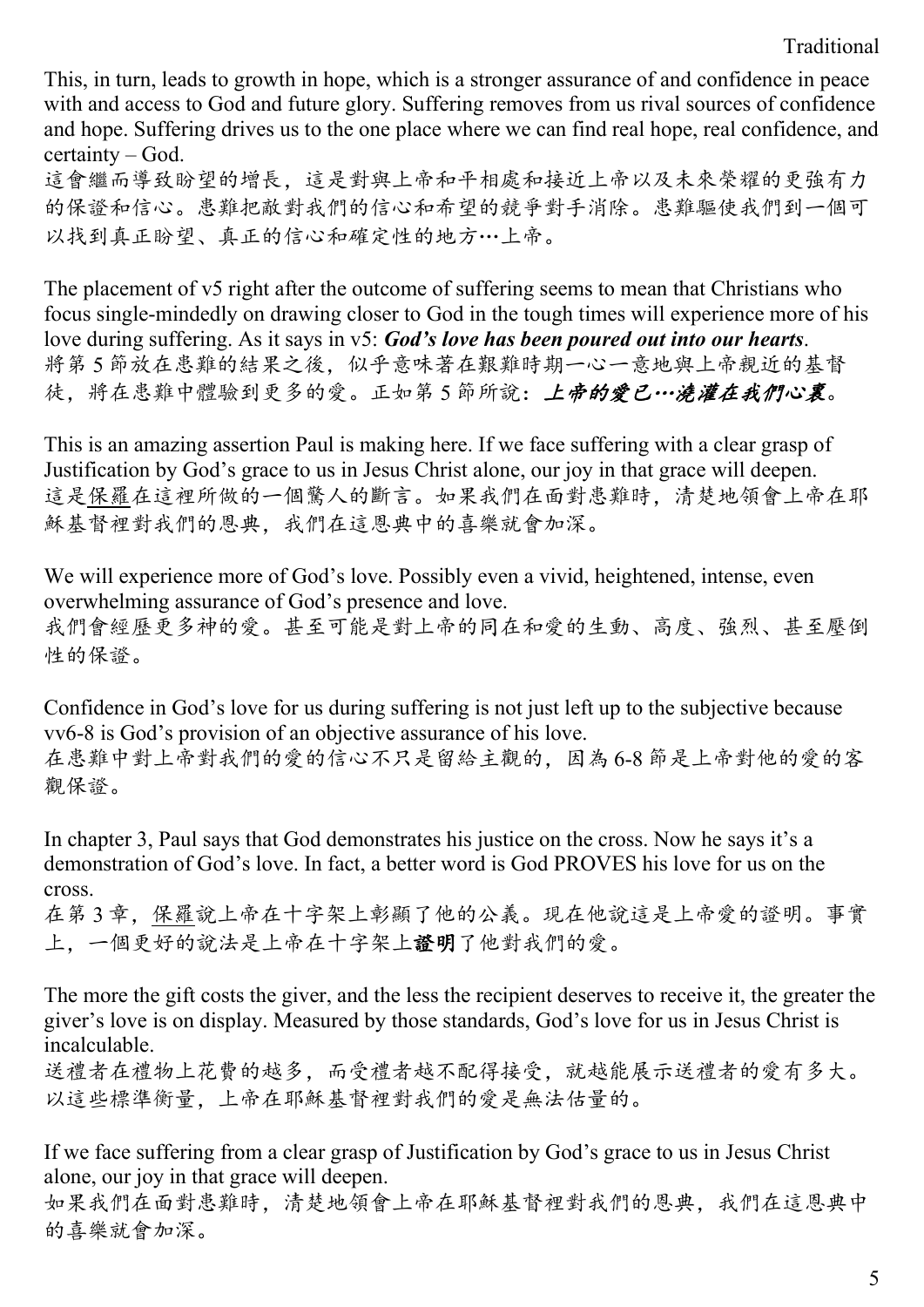Traditional

This, in turn, leads to growth in hope, which is a stronger assurance of and confidence in peace with and access to God and future glory. Suffering removes from us rival sources of confidence and hope. Suffering drives us to the one place where we can find real hope, real confidence, and certainty – God.

這會繼而導致盼望的增長,這是對與上帝和平相處和接近上帝以及未來榮耀的更強有力 的保證和信心。患難把敵對我們的信心和希望的競爭對手消除。患難驅使我們到一個可 以找到真正盼望、真正的信心和確定性的地方…上帝。

The placement of v5 right after the outcome of suffering seems to mean that Christians who focus single-mindedly on drawing closer to God in the tough times will experience more of his love during suffering. As it says in v5: *God's love has been poured out into our hearts*. 將第 5 節放在患難的結果之後,似乎意味著在艱難時期一心一意地與上帝親近的基督 徒,將在患難中體驗到更多的愛。正如第 5 節所說:上帝的愛已…澆灌在我們心裏。

This is an amazing assertion Paul is making here. If we face suffering with a clear grasp of Justification by God's grace to us in Jesus Christ alone, our joy in that grace will deepen. 這是保羅在這裡所做的一個驚人的斷言。如果我們在面對患難時,清楚地領會上帝在耶 穌基督裡對我們的恩典,我們在這恩典中的喜樂就會加深。

We will experience more of God's love. Possibly even a vivid, heightened, intense, even overwhelming assurance of God's presence and love. 我們會經歷更多神的愛。甚至可能是對上帝的同在和愛的生動、高度、強烈、甚至壓倒 性的保證。

Confidence in God's love for us during suffering is not just left up to the subjective because vv6-8 is God's provision of an objective assurance of his love. 在患難中對上帝對我們的愛的信心不只是留給主觀的,因為 6-8 節是上帝對他的愛的客 觀保證。

In chapter 3, Paul says that God demonstrates his justice on the cross. Now he says it's a demonstration of God's love. In fact, a better word is God PROVES his love for us on the cross.

在第 3 章,保羅說上帝在十字架上彰顯了他的公義。現在他說這是上帝愛的證明。事實 上,一個更好的說法是上帝在十字架上證明了他對我們的愛。

The more the gift costs the giver, and the less the recipient deserves to receive it, the greater the giver's love is on display. Measured by those standards, God's love for us in Jesus Christ is incalculable.

送禮者在禮物上花費的越多,而受禮者越不配得接受,就越能展示送禮者的愛有多大。 以這些標準衡量,上帝在耶穌基督裡對我們的愛是無法估量的。

If we face suffering from a clear grasp of Justification by God's grace to us in Jesus Christ alone, our joy in that grace will deepen.

如果我們在面對患難時,清楚地領會上帝在耶穌基督裡對我們的恩典,我們在這恩典中 的喜樂就會加深。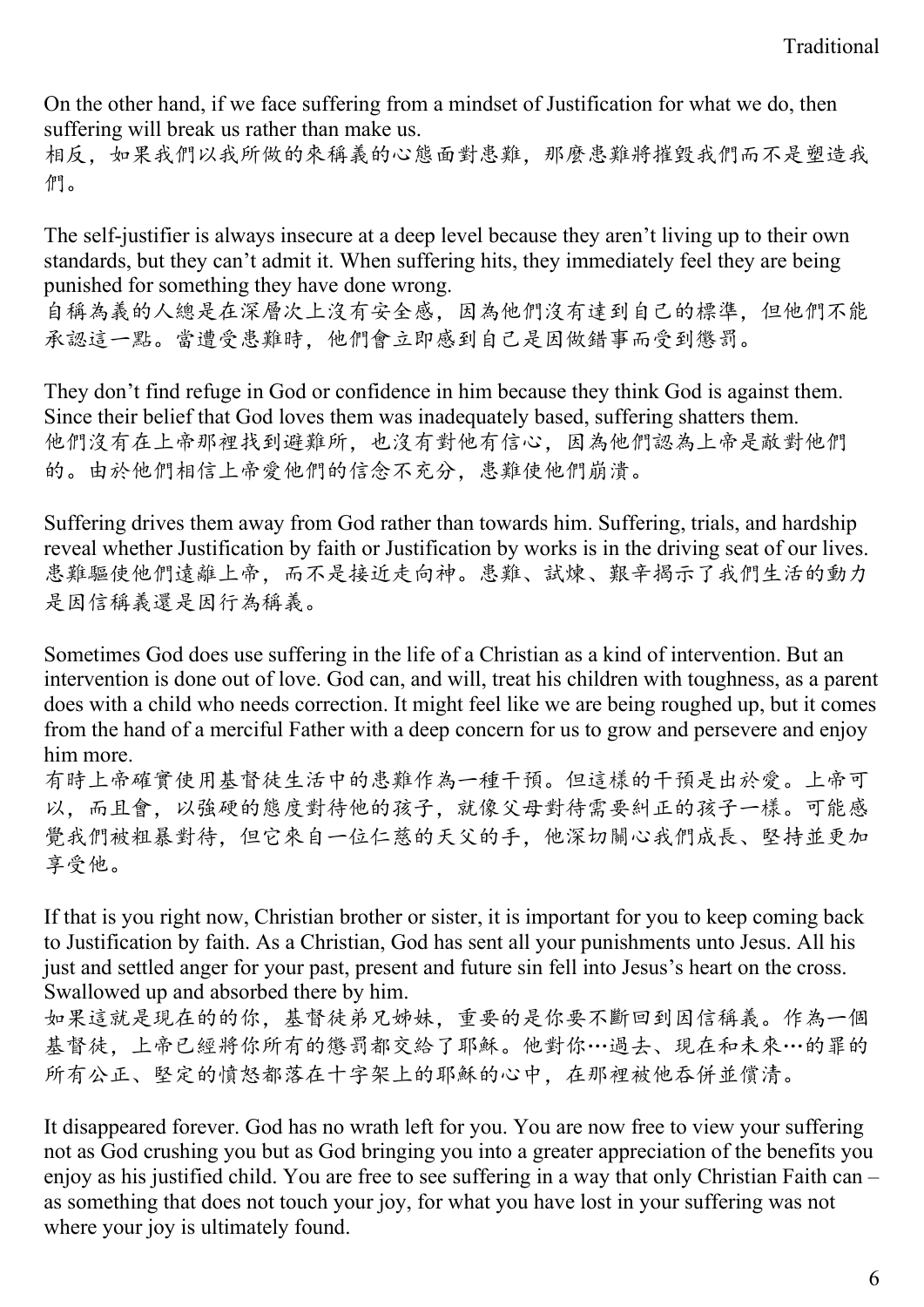On the other hand, if we face suffering from a mindset of Justification for what we do, then suffering will break us rather than make us.

相反,如果我們以我所做的來稱義的心態面對患難,那麼患難將摧毀我們而不是塑造我 們。

The self-justifier is always insecure at a deep level because they aren't living up to their own standards, but they can't admit it. When suffering hits, they immediately feel they are being punished for something they have done wrong.

自稱為義的人總是在深層次上沒有安全感,因為他們沒有達到自己的標準,但他們不能 承認這一點。當遭受患難時,他們會立即感到自己是因做錯事而受到懲罰。

They don't find refuge in God or confidence in him because they think God is against them. Since their belief that God loves them was inadequately based, suffering shatters them. 他們沒有在上帝那裡找到避難所,也沒有對他有信心,因為他們認為上帝是敵對他們 的。由於他們相信上帝愛他們的信念不充分,患難使他們崩潰。

Suffering drives them away from God rather than towards him. Suffering, trials, and hardship reveal whether Justification by faith or Justification by works is in the driving seat of our lives. 患難驅使他們遠離上帝,而不是接近走向神。患難、試煉、艱辛揭示了我們生活的動力 是因信稱義還是因行為稱義。

Sometimes God does use suffering in the life of a Christian as a kind of intervention. But an intervention is done out of love. God can, and will, treat his children with toughness, as a parent does with a child who needs correction. It might feel like we are being roughed up, but it comes from the hand of a merciful Father with a deep concern for us to grow and persevere and enjoy him more.

有時上帝確實使用基督徒生活中的患難作為一種干預。但這樣的干預是出於愛。上帝可 以,而且會,以強硬的態度對待他的孩子,就像父母對待需要糾正的孩子一樣。可能感 覺我們被粗暴對待,但它來自一位仁慈的天父的手,他深切關心我們成長、堅持並更加 享受他。

If that is you right now, Christian brother or sister, it is important for you to keep coming back to Justification by faith. As a Christian, God has sent all your punishments unto Jesus. All his just and settled anger for your past, present and future sin fell into Jesus's heart on the cross. Swallowed up and absorbed there by him.

如果這就是現在的的你,基督徒弟兄姊妹,重要的是你要不斷回到因信稱義。作為一個 基督徒,上帝已經將你所有的懲罰都交給了耶穌。他對你…過去、現在和未來…的罪的 所有公正、堅定的憤怒都落在十字架上的耶穌的心中,在那裡被他吞併並償清。

It disappeared forever. God has no wrath left for you. You are now free to view your suffering not as God crushing you but as God bringing you into a greater appreciation of the benefits you enjoy as his justified child. You are free to see suffering in a way that only Christian Faith can – as something that does not touch your joy, for what you have lost in your suffering was not where your joy is ultimately found.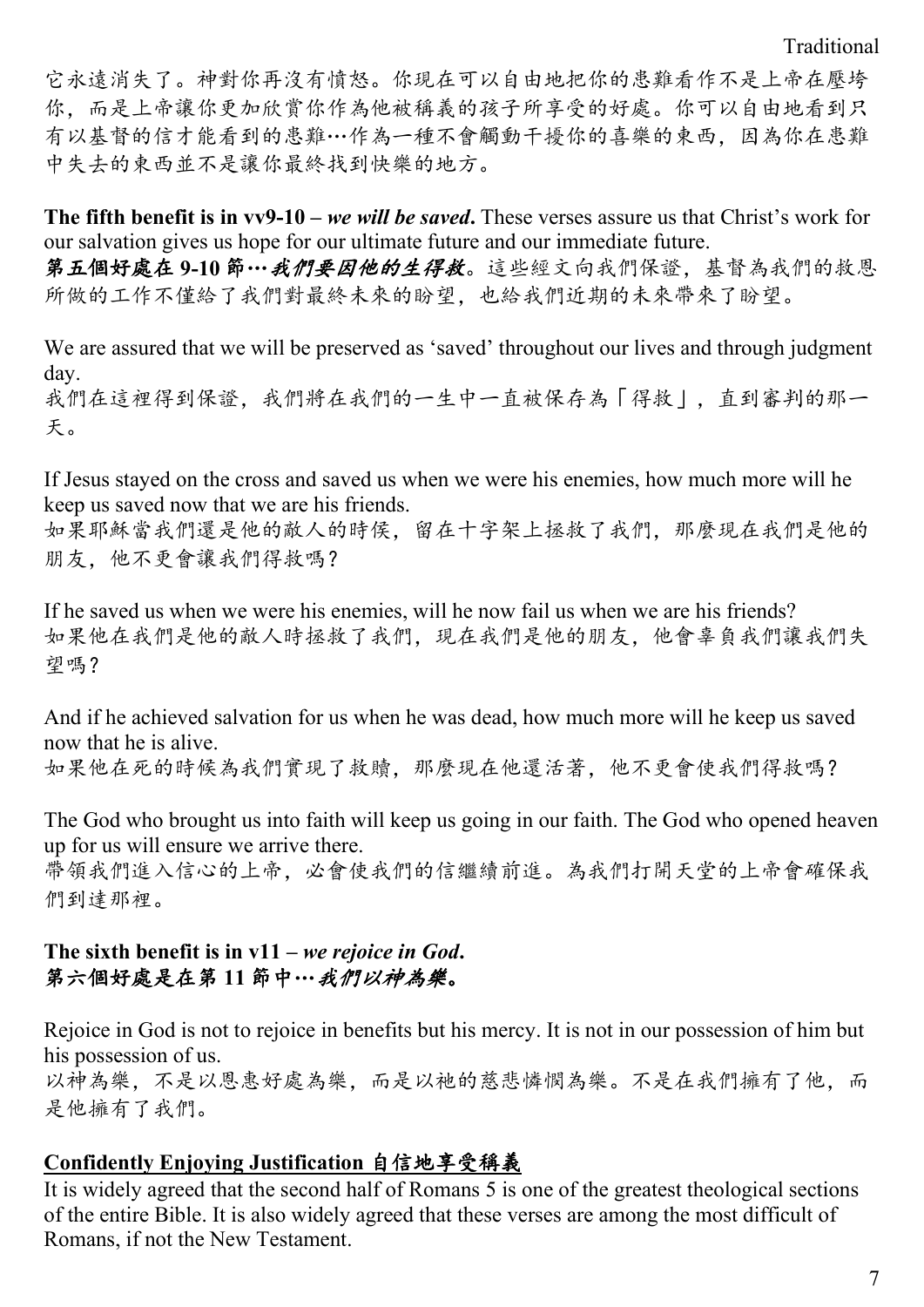它永遠消失了。神對你再沒有憤怒。你現在可以自由地把你的患難看作不是上帝在壓垮 你,而是上帝讓你更加欣賞你作為他被稱義的孩子所享受的好處。你可以自由地看到只 有以基督的信才能看到的患難…作為一種不會觸動干擾你的喜樂的東西,因為你在患難 中失去的東西並不是讓你最終找到快樂的地方。

**The fifth benefit is in vv9-10 –** *we will be saved***.** These verses assure us that Christ's work for our salvation gives us hope for our ultimate future and our immediate future.

第五個好處在 **9-10** 節…我們要因他的生得救。這些經文向我們保證,基督為我們的救恩 所做的工作不僅給了我們對最終未來的盼望,也給我們近期的未來帶來了盼望。

We are assured that we will be preserved as 'saved' throughout our lives and through judgment day. 我們在這裡得到保證,我們將在我們的一生中一直被保存為「得救」,直到審判的那一 天。

If Jesus stayed on the cross and saved us when we were his enemies, how much more will he keep us saved now that we are his friends.

如果耶穌當我們還是他的敵人的時侯,留在十字架上拯救了我們,那麼現在我們是他的 朋友,他不更會讓我們得救嗎?

If he saved us when we were his enemies, will he now fail us when we are his friends? 如果他在我們是他的敵人時拯救了我們,現在我們是他的朋友,他會辜負我們讓我們失 望嗎?

And if he achieved salvation for us when he was dead, how much more will he keep us saved now that he is alive.

如果他在死的時候為我們實現了救贖,那麼現在他還活著,他不更會使我們得救嗎?

The God who brought us into faith will keep us going in our faith. The God who opened heaven up for us will ensure we arrive there.

帶領我們進入信心的上帝,必會使我們的信繼續前進。為我們打開天堂的上帝會確保我 們到達那裡。

#### **The sixth benefit is in v11 –** *we rejoice in God***.**  第六個好處是在第 **11** 節中…我們以神為樂。

Rejoice in God is not to rejoice in benefits but his mercy. It is not in our possession of him but his possession of us.

以神為樂,不是以恩惠好處為樂,而是以祂的慈悲憐憫為樂。不是在我們擁有了他,而 是他擁有了我們。

### **Confidently Enjoying Justification** 自信地享受稱義

It is widely agreed that the second half of Romans 5 is one of the greatest theological sections of the entire Bible. It is also widely agreed that these verses are among the most difficult of Romans, if not the New Testament.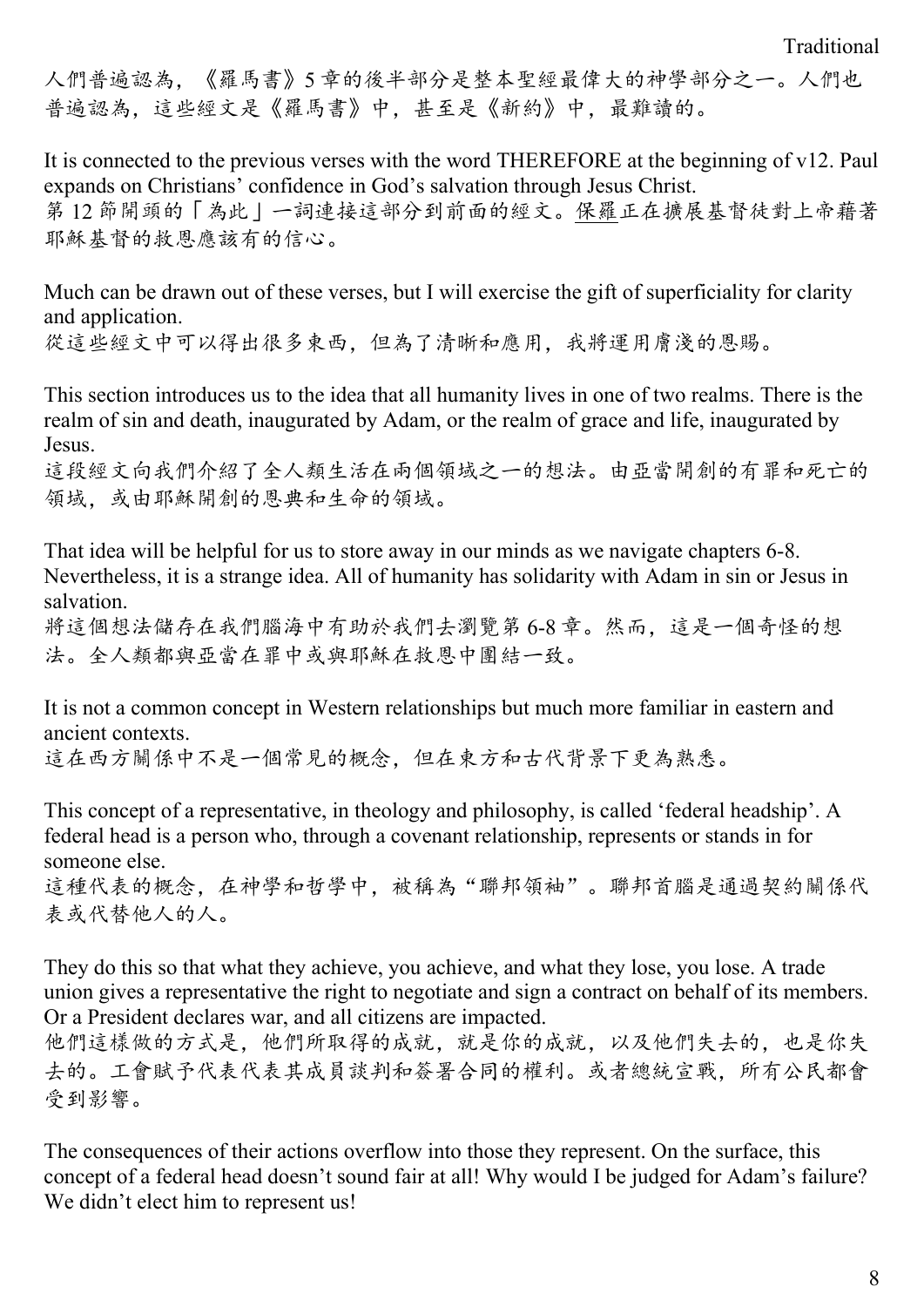人們普遍認為,《羅馬書》5 章的後半部分是整本聖經最偉大的神學部分之一。人們也 普遍認為,這些經文是《羅馬書》中,甚至是《新約》中,最難讀的。

It is connected to the previous verses with the word THEREFORE at the beginning of v12. Paul expands on Christians' confidence in God's salvation through Jesus Christ. 第 12 節開頭的「為此」一詞連接這部分到前面的經文。保羅正在擴展基督徒對上帝藉著 耶穌基督的救恩應該有的信心。

Much can be drawn out of these verses, but I will exercise the gift of superficiality for clarity and application. 從這些經文中可以得出很多東西,但為了清晰和應用,我將運用膚淺的恩賜。

This section introduces us to the idea that all humanity lives in one of two realms. There is the realm of sin and death, inaugurated by Adam, or the realm of grace and life, inaugurated by Jesus.

這段經文向我們介紹了全人類生活在兩個領域之一的想法。由亞當開創的有罪和死亡的 領域,或由耶穌開創的恩典和生命的領域。

That idea will be helpful for us to store away in our minds as we navigate chapters 6-8. Nevertheless, it is a strange idea. All of humanity has solidarity with Adam in sin or Jesus in salvation.

將這個想法儲存在我們腦海中有助於我們去瀏覽第 6-8 章。然而,這是一個奇怪的想 法。全人類都與亞當在罪中或與耶穌在救恩中團結一致。

It is not a common concept in Western relationships but much more familiar in eastern and ancient contexts.

這在西方關係中不是一個常見的概念,但在東方和古代背景下更為熟悉。

This concept of a representative, in theology and philosophy, is called 'federal headship'. A federal head is a person who, through a covenant relationship, represents or stands in for someone else.

這種代表的概念,在神學和哲學中,被稱為"聯邦領袖"。聯邦首腦是通過契約關係代 表或代替他人的人。

They do this so that what they achieve, you achieve, and what they lose, you lose. A trade union gives a representative the right to negotiate and sign a contract on behalf of its members. Or a President declares war, and all citizens are impacted.

他們這樣做的方式是,他們所取得的成就,就是你的成就,以及他們失去的,也是你失 去的。工會賦予代表代表其成員談判和簽署合同的權利。或者總統宣戰,所有公民都會 受到影響。

The consequences of their actions overflow into those they represent. On the surface, this concept of a federal head doesn't sound fair at all! Why would I be judged for Adam's failure? We didn't elect him to represent us!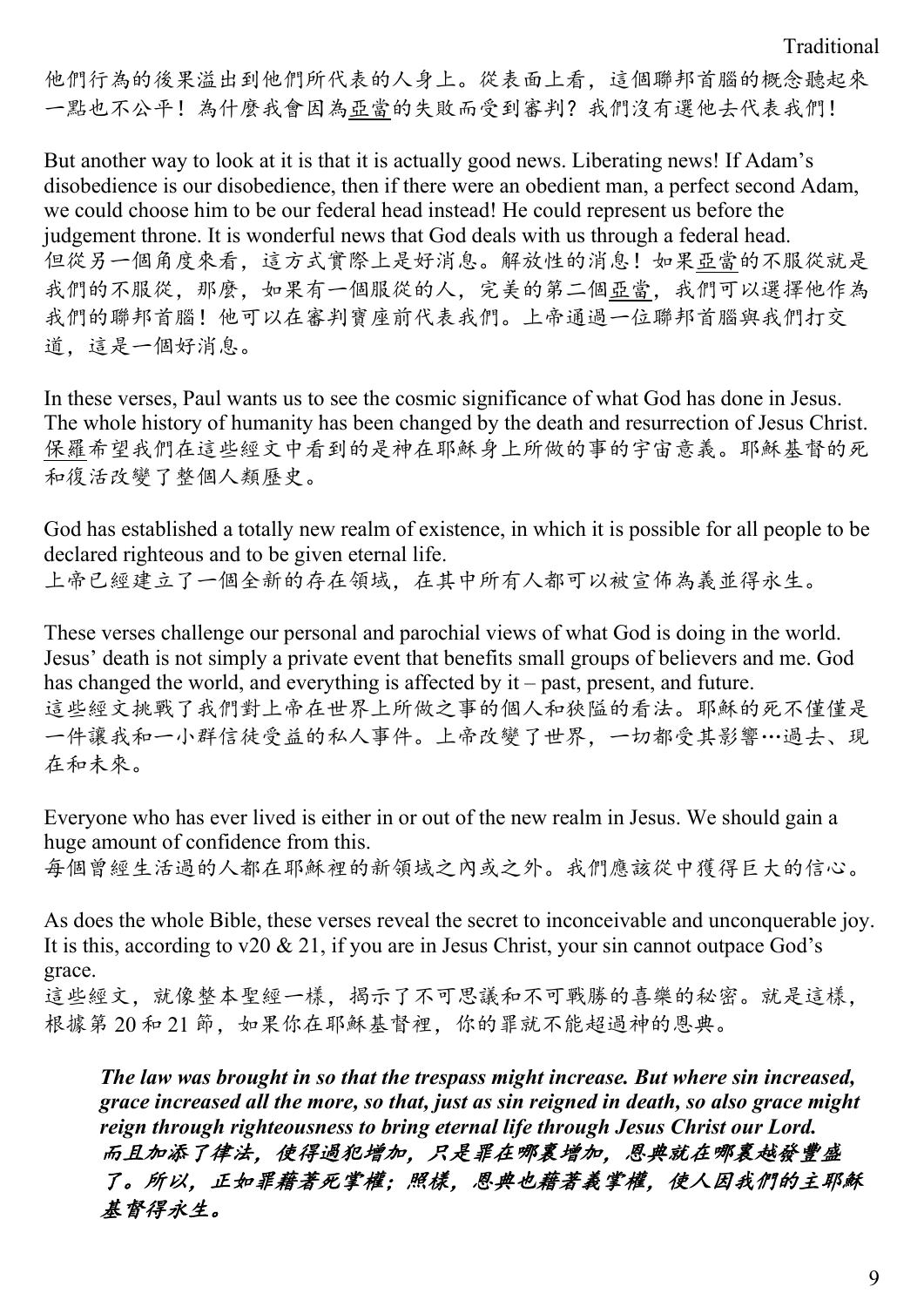他們行為的後果溢出到他們所代表的人身上。從表面上看,這個聯邦首腦的概念聽起來 一點也不公平!為什麼我會因為亞當的失敗而受到審判?我們沒有選他去代表我們!

But another way to look at it is that it is actually good news. Liberating news! If Adam's disobedience is our disobedience, then if there were an obedient man, a perfect second Adam, we could choose him to be our federal head instead! He could represent us before the judgement throne. It is wonderful news that God deals with us through a federal head. 但從另一個角度來看,這方式實際上是好消息。解放性的消息!如果亞當的不服從就是 我們的不服從,那麼,如果有一個服從的人,完美的第二個亞當,我們可以選擇他作為 我們的聯邦首腦!他可以在審判寶座前代表我們。上帝通過一位聯邦首腦與我們打交 道,這是一個好消息。

In these verses, Paul wants us to see the cosmic significance of what God has done in Jesus. The whole history of humanity has been changed by the death and resurrection of Jesus Christ. 保羅希望我們在這些經文中看到的是神在耶穌身上所做的事的宇宙意義。耶穌基督的死 和復活改變了整個人類歷史。

God has established a totally new realm of existence, in which it is possible for all people to be declared righteous and to be given eternal life.

上帝已經建立了一個全新的存在領域,在其中所有人都可以被宣佈為義並得永生。

These verses challenge our personal and parochial views of what God is doing in the world. Jesus' death is not simply a private event that benefits small groups of believers and me. God has changed the world, and everything is affected by it – past, present, and future. 這些經文挑戰了我們對上帝在世界上所做之事的個人和狹隘的看法。耶穌的死不僅僅是 一件讓我和一小群信徒受益的私人事件。上帝改變了世界,一切都受其影響…過去、現 在和未來。

Everyone who has ever lived is either in or out of the new realm in Jesus. We should gain a huge amount of confidence from this.

每個曾經生活過的人都在耶穌裡的新領域之內或之外。我們應該從中獲得巨大的信心。

As does the whole Bible, these verses reveal the secret to inconceivable and unconquerable joy. It is this, according to v20 & 21, if you are in Jesus Christ, your sin cannot outpace God's grace.

這些經文,就像整本聖經一樣,揭示了不可思議和不可戰勝的喜樂的秘密。就是這樣, 根據第 20 和 21 節,如果你在耶穌基督裡,你的罪就不能超過神的恩典。

*The law was brought in so that the trespass might increase. But where sin increased, grace increased all the more, so that, just as sin reigned in death, so also grace might reign through righteousness to bring eternal life through Jesus Christ our Lord.* 而且加添了律法,使得過犯增加,只是罪在哪裏增加,恩典就在哪裏越發豐盛 了。所以,正如罪藉著死掌權;照樣,恩典也藉著義掌權,使人因我們的主耶穌 基督得永生。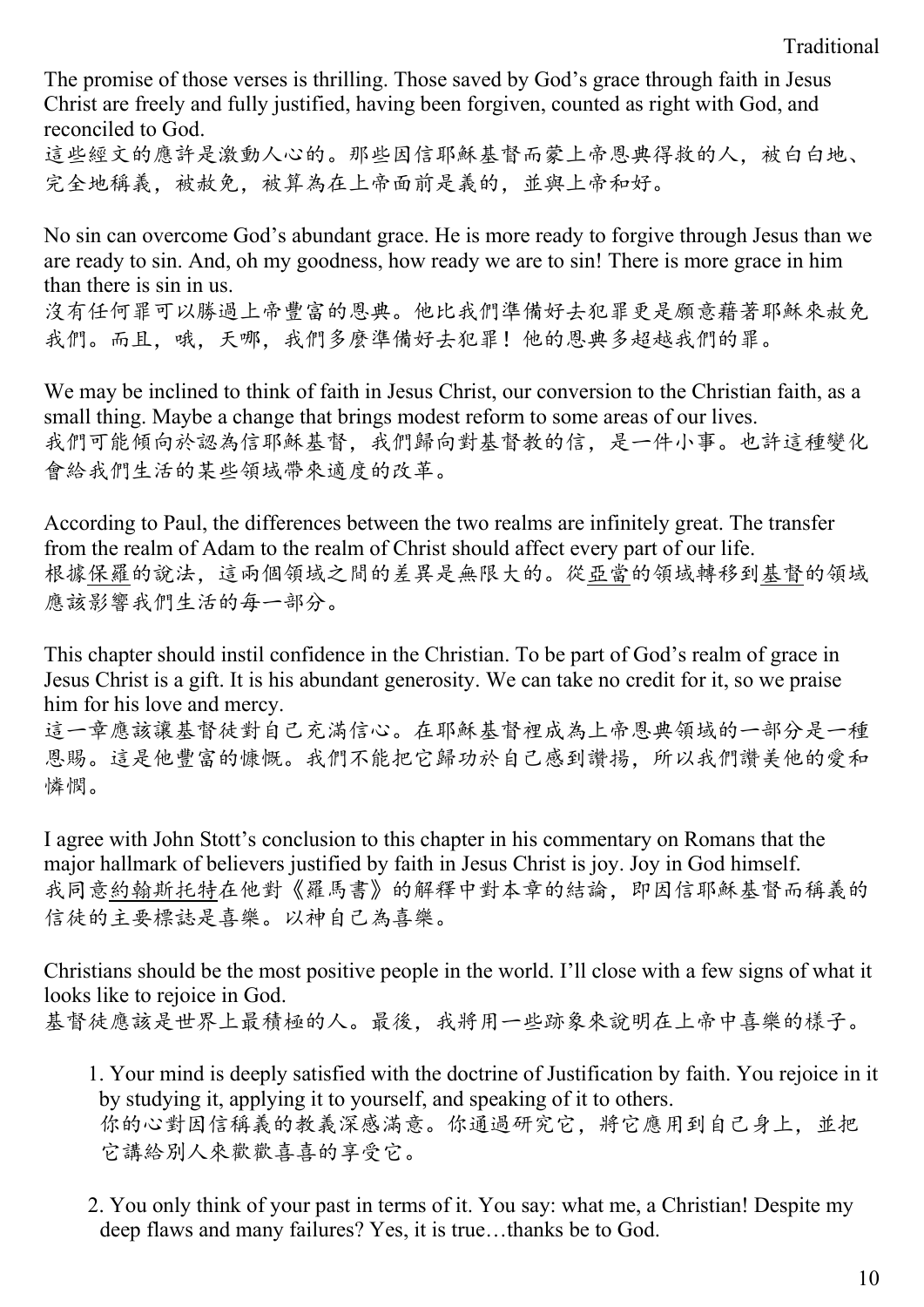The promise of those verses is thrilling. Those saved by God's grace through faith in Jesus Christ are freely and fully justified, having been forgiven, counted as right with God, and reconciled to God.

這些經文的應許是激動人心的。那些因信耶穌基督而蒙上帝恩典得救的人,被白白地、 完全地稱義,被赦免,被算為在上帝面前是義的,並與上帝和好。

No sin can overcome God's abundant grace. He is more ready to forgive through Jesus than we are ready to sin. And, oh my goodness, how ready we are to sin! There is more grace in him than there is sin in us.

沒有任何罪可以勝過上帝豐富的恩典。他比我們準備好去犯罪更是願意藉著耶穌來赦免 我們。而且,哦,天哪,我們多麼準備好去犯罪!他的恩典多超越我們的罪。

We may be inclined to think of faith in Jesus Christ, our conversion to the Christian faith, as a small thing. Maybe a change that brings modest reform to some areas of our lives. 我們可能傾向於認為信耶穌基督,我們歸向對基督教的信,是一件小事。也許這種變化 會給我們生活的某些領域帶來適度的改革。

According to Paul, the differences between the two realms are infinitely great. The transfer from the realm of Adam to the realm of Christ should affect every part of our life. 根據保羅的說法,這兩個領域之間的差異是無限大的。從亞當的領域轉移到基督的領域 應該影響我們生活的每一部分。

This chapter should instil confidence in the Christian. To be part of God's realm of grace in Jesus Christ is a gift. It is his abundant generosity. We can take no credit for it, so we praise him for his love and mercy.

這一章應該讓基督徒對自己充滿信心。在耶穌基督裡成為上帝恩典領域的一部分是一種 恩賜。這是他豐富的慷慨。我們不能把它歸功於自己感到讚揚,所以我們讚美他的愛和 憐憫。

I agree with John Stott's conclusion to this chapter in his commentary on Romans that the major hallmark of believers justified by faith in Jesus Christ is joy. Joy in God himself. 我同意約翰斯托特在他對《羅馬書》的解釋中對本章的結論,即因信耶穌基督而稱義的 信徒的主要標誌是喜樂。以神自己為喜樂。

Christians should be the most positive people in the world. I'll close with a few signs of what it looks like to rejoice in God. 基督徒應該是世界上最積極的人。最後,我將用一些跡象來說明在上帝中喜樂的樣子。

- 1. Your mind is deeply satisfied with the doctrine of Justification by faith. You rejoice in it by studying it, applying it to yourself, and speaking of it to others. 你的心對因信稱義的教義深感滿意。你通過研究它,將它應用到自己身上,並把 它講給別人來歡歡喜喜的享受它。
- 2. You only think of your past in terms of it. You say: what me, a Christian! Despite my deep flaws and many failures? Yes, it is true…thanks be to God.